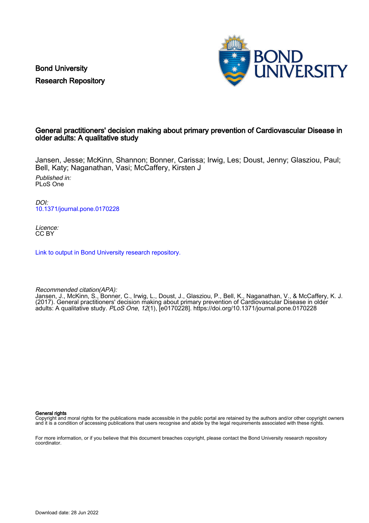Bond University Research Repository



#### General practitioners' decision making about primary prevention of Cardiovascular Disease in older adults: A qualitative study

Jansen, Jesse; McKinn, Shannon; Bonner, Carissa; Irwig, Les; Doust, Jenny; Glasziou, Paul; Bell, Katy; Naganathan, Vasi; McCaffery, Kirsten J

Published in: PLoS One

DOI: [10.1371/journal.pone.0170228](https://doi.org/10.1371/journal.pone.0170228)

Licence: CC BY

[Link to output in Bond University research repository.](https://research.bond.edu.au/en/publications/0cbad331-cfc4-46f6-85b4-99cf3ee61125)

Recommended citation(APA):

Jansen, J., McKinn, S., Bonner, C., Irwig, L., Doust, J., Glasziou, P., Bell, K., Naganathan, V., & McCaffery, K. J. (2017). General practitioners' decision making about primary prevention of Cardiovascular Disease in older adults: A qualitative study. PLoS One, 12(1), [e0170228]. <https://doi.org/10.1371/journal.pone.0170228>

General rights

Copyright and moral rights for the publications made accessible in the public portal are retained by the authors and/or other copyright owners and it is a condition of accessing publications that users recognise and abide by the legal requirements associated with these rights.

For more information, or if you believe that this document breaches copyright, please contact the Bond University research repository coordinator.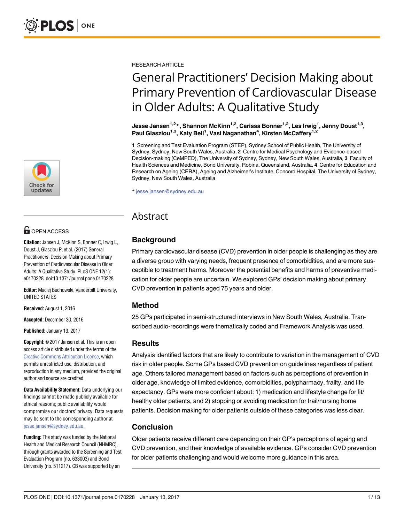

# **OPEN ACCESS**

**Citation:** Jansen J, McKinn S, Bonner C, Irwig L, Doust J, Glasziou P, et al. (2017) General Practitioners' Decision Making about Primary Prevention of Cardiovascular Disease in Older Adults: A Qualitative Study. PLoS ONE 12(1): e0170228. doi:10.1371/journal.pone.0170228

**Editor:** Maciej Buchowski, Vanderbilt University, UNITED STATES

**Received:** August 1, 2016

**Accepted:** December 30, 2016

**Published:** January 13, 2017

**Copyright:** © 2017 Jansen et al. This is an open access article distributed under the terms of the Creative Commons [Attribution](http://creativecommons.org/licenses/by/4.0/) License, which permits unrestricted use, distribution, and reproduction in any medium, provided the original author and source are credited.

**Data Availability Statement:** Data underlying our findings cannot be made publicly available for ethical reasons; public availability would compromise our doctors' privacy. Data requests may be sent to the corresponding author at [jesse.jansen@sydney.edu.au](mailto:jesse.jansen@sydney.edu.au).

**Funding:** The study was funded by the National Health and Medical Research Council (NHMRC), through grants awarded to the Screening and Test Evaluation Program (no. 633003) and Bond University (no. 511217). CB was supported by an

RESEARCH ARTICLE

# General Practitioners' Decision Making about Primary Prevention of Cardiovascular Disease in Older Adults: A Qualitative Study

**Jesse Jansen1,2\*, Shannon McKinn1,2, Carissa Bonner1,2, Les Irwig1 , Jenny Doust1,3, Paul Glasziou1,3, Katy Bell1 , Vasi Naganathan4 , Kirsten McCaffery1,2**

**1** Screening and Test Evaluation Program (STEP), Sydney School of Public Health, The University of Sydney, Sydney, New South Wales, Australia, **2** Centre for Medical Psychology and Evidence-based Decision-making (CeMPED), The University of Sydney, Sydney, New South Wales, Australia, **3** Faculty of Health Sciences and Medicine, Bond University, Robina, Queensland, Australia, **4** Centre for Education and Research on Ageing (CERA), Ageing and Alzheimer's Institute, Concord Hospital, The University of Sydney, Sydney, New South Wales, Australia

\* jesse.jansen@sydney.edu.au

## Abstract

### **Background**

Primary cardiovascular disease (CVD) prevention in older people is challenging as they are a diverse group with varying needs, frequent presence of comorbidities, and are more susceptible to treatment harms. Moreover the potential benefits and harms of preventive medication for older people are uncertain. We explored GPs' decision making about primary CVD prevention in patients aged 75 years and older.

#### **Method**

25 GPs participated in semi-structured interviews in New South Wales, Australia. Transcribed audio-recordings were thematically coded and Framework Analysis was used.

#### **Results**

Analysis identified factors that are likely to contribute to variation in the management of CVD risk in older people. Some GPs based CVD prevention on guidelines regardless of patient age. Others tailored management based on factors such as perceptions of prevention in older age, knowledge of limited evidence, comorbidities, polypharmacy, frailty, and life expectancy. GPs were more confident about: 1) medication and lifestyle change for fit/ healthy older patients, and 2) stopping or avoiding medication for frail/nursing home patients. Decision making for older patients outside of these categories was less clear.

#### **Conclusion**

Older patients receive different care depending on their GP's perceptions of ageing and CVD prevention, and their knowledge of available evidence. GPs consider CVD prevention for older patients challenging and would welcome more guidance in this area.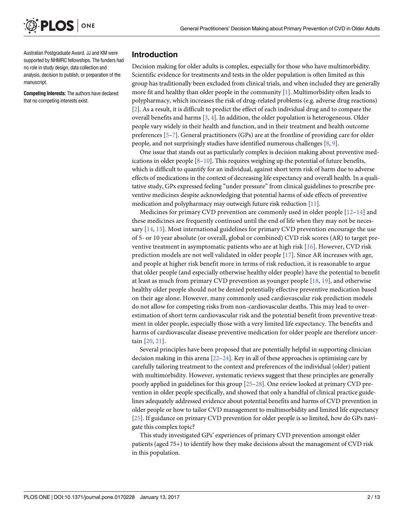<span id="page-2-0"></span>

Australian Postgraduate Award. JJ and KM were supported by NHMRC fellowships. The funders had no role in study design, data collection and analysis, decision to publish, or preparation of the manuscript.

**Competing Interests:** The authors have declared that no competing interests exist.

#### **Introduction**

Decision making for older adults is complex, especially for those who have multimorbidity. Scientific evidence for treatments and tests in the older population is often limited as this group has traditionally been excluded from clinical trials, and when included they are generally more fit and healthy than older people in the community [[1\]](#page-10-0). Multimorbidity often leads to polypharmacy, which increases the risk of drug-related problems (e.g. adverse drug reactions) [\[2](#page-10-0)]. As a result, it is difficult to predict the effect of each individual drug and to compare the overall benefits and harms  $[3, 4]$  $[3, 4]$  $[3, 4]$  $[3, 4]$ . In addition, the older population is heterogeneous. Older people vary widely in their health and function, and in their treatment and health outcome preferences [\[5–7](#page-11-0)]. General practitioners (GPs) are at the frontline of providing care for older people, and not surprisingly studies have identified numerous challenges [\[8](#page-11-0), [9](#page-11-0)].

One issue that stands out as particularly complex is decision making about preventive medications in older people  $[8-10]$ . This requires weighing up the potential of future benefits, which is difficult to quantify for an individual, against short term risk of harm due to adverse effects of medications in the context of decreasing life expectancy and overall health. In a qualitative study, GPs expressed feeling "under pressure" from clinical guidelines to prescribe preventive medicines despite acknowledging that potential harms of side effects of preventive medication and polypharmacy may outweigh future risk reduction [[11](#page-11-0)].

Medicines for primary CVD prevention are commonly used in older people [\[12–14](#page-11-0)] and these medicines are frequently continued until the end of life when they may not be necessary  $[14, 15]$  $[14, 15]$  $[14, 15]$  $[14, 15]$ . Most international guidelines for primary CVD prevention encourage the use of 5- or 10 year absolute (or overall, global or combined) CVD risk scores (AR) to target preventive treatment in asymptomatic patients who are at high risk [[16\]](#page-11-0). However, CVD risk prediction models are not well validated in older people [\[17\]](#page-11-0). Since AR increases with age, and people at higher risk benefit more in terms of risk reduction, it is reasonable to argue that older people (and especially otherwise healthy older people) have the potential to benefit at least as much from primary CVD prevention as younger people [\[18](#page-11-0), [19](#page-11-0)], and otherwise healthy older people should not be denied potentially effective preventive medication based on their age alone. However, many commonly used cardiovascular risk prediction models do not allow for competing risks from non-cardiovascular deaths. This may lead to overestimation of short term cardiovascular risk and the potential benefit from preventive treatment in older people, especially those with a very limited life expectancy. The benefits and harms of cardiovascular disease preventive medication for older people are therefore uncertain [[20](#page-11-0), [21\]](#page-11-0).

Several principles have been proposed that are potentially helpful in supporting clinician decision making in this arena  $[22-24]$  $[22-24]$  $[22-24]$ . Key in all of these approaches is optimising care by carefully tailoring treatment to the context and preferences of the individual (older) patient with multimorbidity. However, systematic reviews suggest that these principles are generally poorly applied in guidelines for this group [\[25–28](#page-12-0)]. One review looked at primary CVD prevention in older people specifically, and showed that only a handful of clinical practice guidelines adequately addressed evidence about potential benefits and harms of CVD prevention in older people or how to tailor CVD management to multimorbidity and limited life expectancy [\[25\]](#page-12-0). If guidance on primary CVD prevention for older people is so limited, how do GPs navigate this complex topic?

This study investigated GPs' experiences of primary CVD prevention amongst older patients (aged 75+) to identify how they make decisions about the management of CVD risk in this population.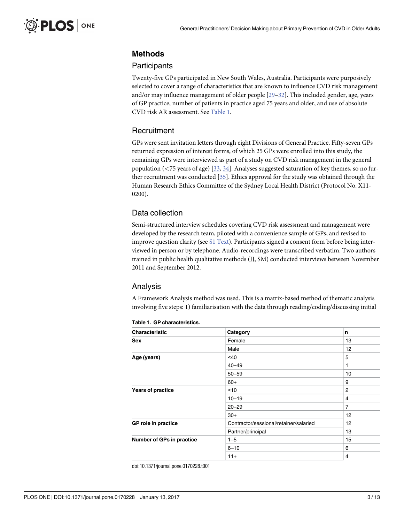## <span id="page-3-0"></span>**Methods**

#### **Participants**

Twenty-five GPs participated in New South Wales, Australia. Participants were purposively selected to cover a range of characteristics that are known to influence CVD risk management and/or may influence management of older people [\[29–32](#page-12-0)]. This included gender, age, years of GP practice, number of patients in practice aged 75 years and older, and use of absolute CVD risk AR assessment. See Table 1.

## **Recruitment**

GPs were sent invitation letters through eight Divisions of General Practice. Fifty-seven GPs returned expression of interest forms, of which 25 GPs were enrolled into this study, the remaining GPs were interviewed as part of a study on CVD risk management in the general population (*<*75 years of age) [[33](#page-12-0), [34](#page-12-0)]. Analyses suggested saturation of key themes, so no further recruitment was conducted [\[35\]](#page-12-0). Ethics approval for the study was obtained through the Human Research Ethics Committee of the Sydney Local Health District (Protocol No. X11- 0200).

## Data collection

Semi-structured interview schedules covering CVD risk assessment and management were developed by the research team, piloted with a convenience sample of GPs, and revised to improve question clarity (see S1 [Text\)](#page-10-0). Participants signed a consent form before being interviewed in person or by telephone. Audio-recordings were transcribed verbatim. Two authors trained in public health qualitative methods (JJ, SM) conducted interviews between November 2011 and September 2012.

### Analysis

A Framework Analysis method was used. This is a matrix-based method of thematic analysis involving five steps: 1) familiarisation with the data through reading/coding/discussing initial

| Characteristic            | Category                               | n              |
|---------------------------|----------------------------------------|----------------|
| Sex                       | Female                                 | 13             |
|                           | Male                                   | 12             |
| Age (years)               | $<$ 40                                 | 5              |
|                           | $40 - 49$                              | 1              |
|                           | $50 - 59$                              | 10             |
|                           | $60+$                                  | 9              |
| Years of practice         | < 10                                   | 2              |
|                           | $10 - 19$                              | 4              |
|                           | $20 - 29$                              | $\overline{7}$ |
|                           | $30+$                                  | 12             |
| GP role in practice       | Contractor/sessional/retainer/salaried | 12             |
|                           | Partner/principal                      | 13             |
| Number of GPs in practice | $1 - 5$                                | 15             |
|                           | $6 - 10$                               | 6              |
|                           | $11+$                                  | 4              |

**Table 1. GP characteristics.**

doi:10.1371/journal.pone.0170228.t001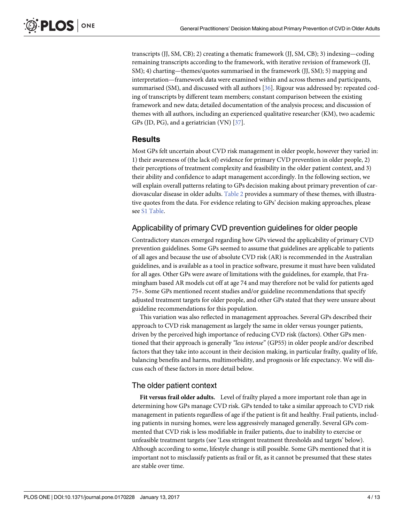<span id="page-4-0"></span>transcripts (JJ, SM, CB); 2) creating a thematic framework (JJ, SM, CB); 3) indexing—coding remaining transcripts according to the framework, with iterative revision of framework (JJ, SM); 4) charting—themes/quotes summarised in the framework (JJ, SM); 5) mapping and interpretation—framework data were examined within and across themes and participants, summarised (SM), and discussed with all authors [[36](#page-12-0)]. Rigour was addressed by: repeated coding of transcripts by different team members; constant comparison between the existing framework and new data; detailed documentation of the analysis process; and discussion of themes with all authors, including an experienced qualitative researcher (KM), two academic GPs (JD, PG), and a geriatrician (VN) [\[37\]](#page-12-0).

#### **Results**

Most GPs felt uncertain about CVD risk management in older people, however they varied in: 1) their awareness of (the lack of) evidence for primary CVD prevention in older people, 2) their perceptions of treatment complexity and feasibility in the older patient context, and 3) their ability and confidence to adapt management accordingly. In the following section, we will explain overall patterns relating to GPs decision making about primary prevention of cardiovascular disease in older adults. [Table](#page-5-0) 2 provides a summary of these themes, with illustrative quotes from the data. For evidence relating to GPs' decision making approaches, please see S1 [Table](#page-10-0).

#### Applicability of primary CVD prevention guidelines for older people

Contradictory stances emerged regarding how GPs viewed the applicability of primary CVD prevention guidelines. Some GPs seemed to assume that guidelines are applicable to patients of all ages and because the use of absolute CVD risk (AR) is recommended in the Australian guidelines, and is available as a tool in practice software, presume it must have been validated for all ages. Other GPs were aware of limitations with the guidelines, for example, that Framingham based AR models cut off at age 74 and may therefore not be valid for patients aged 75+. Some GPs mentioned recent studies and/or guideline recommendations that specify adjusted treatment targets for older people, and other GPs stated that they were unsure about guideline recommendations for this population.

This variation was also reflected in management approaches. Several GPs described their approach to CVD risk management as largely the same in older versus younger patients, driven by the perceived high importance of reducing CVD risk (factors). Other GPs mentioned that their approach is generally *"less intense"* (GP55) in older people and/or described factors that they take into account in their decision making, in particular frailty, quality of life, balancing benefits and harms, multimorbidity, and prognosis or life expectancy. We will discuss each of these factors in more detail below.

#### The older patient context

**Fit versus frail older adults.** Level of frailty played a more important role than age in determining how GPs manage CVD risk. GPs tended to take a similar approach to CVD risk management in patients regardless of age if the patient is fit and healthy. Frail patients, including patients in nursing homes, were less aggressively managed generally. Several GPs commented that CVD risk is less modifiable in frailer patients, due to inability to exercise or unfeasible treatment targets (see 'Less stringent treatment thresholds and targets' below). Although according to some, lifestyle change is still possible. Some GPs mentioned that it is important not to misclassify patients as frail or fit, as it cannot be presumed that these states are stable over time.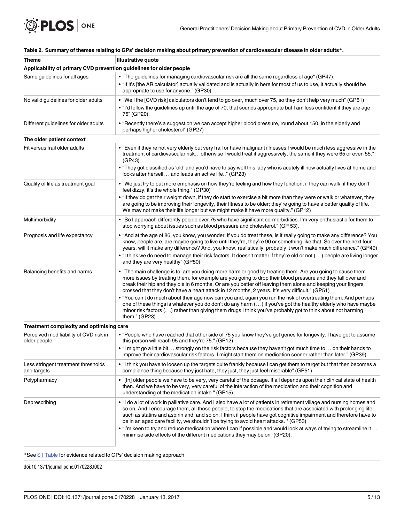| Theme                                                               | <b>Illustrative quote</b>                                                                                                                                                                                                                                                                                                                                                                                                                                |  |
|---------------------------------------------------------------------|----------------------------------------------------------------------------------------------------------------------------------------------------------------------------------------------------------------------------------------------------------------------------------------------------------------------------------------------------------------------------------------------------------------------------------------------------------|--|
| Applicability of primary CVD prevention guidelines for older people |                                                                                                                                                                                                                                                                                                                                                                                                                                                          |  |
| Same quidelines for all ages                                        | • "The guidelines for managing cardiovascular risk are all the same regardless of age" (GP47).                                                                                                                                                                                                                                                                                                                                                           |  |
|                                                                     | • "If it's [the AR calculator] actually validated and is actually in here for most of us to use, it actually should be<br>appropriate to use for anyone." (GP30)                                                                                                                                                                                                                                                                                         |  |
| No valid guidelines for older adults                                | • "Well the [CVD risk] calculators don't tend to go over, much over 75, so they don't help very much" (GP51)                                                                                                                                                                                                                                                                                                                                             |  |
|                                                                     | • "I'd follow the guidelines up until the age of 70, that sounds appropriate but I am less confident if they are age<br>75" (GP20).                                                                                                                                                                                                                                                                                                                      |  |
| Different guidelines for older adults                               | • "Recently there's a suggestion we can accept higher blood pressure, round about 150, in the elderly and<br>perhaps higher cholesterol" (GP27)                                                                                                                                                                                                                                                                                                          |  |
| The older patient context                                           |                                                                                                                                                                                                                                                                                                                                                                                                                                                          |  |
| Fit versus frail older adults                                       | . "Even if they're not very elderly but very frail or have malignant illnesses I would be much less aggressive in the<br>treatment of cardiovascular riskotherwise I would treat it aggressively, the same if they were 65 or even 55."<br>(GP43)                                                                                                                                                                                                        |  |
|                                                                     | • "They got classified as 'old' and you'd have to say well this lady who is acutely ill now actually lives at home and<br>looks after herself and leads an active life" (GP23)                                                                                                                                                                                                                                                                           |  |
| Quality of life as treatment goal                                   | • "We just try to put more emphasis on how they're feeling and how they function, if they can walk, if they don't<br>feel dizzy, it's the whole thing." (GP30)                                                                                                                                                                                                                                                                                           |  |
|                                                                     | • "If they do get their weight down, if they do start to exercise a bit more than they were or walk or whatever, they<br>are going to be improving their longevity, their fitness to be older; they're going to have a better quality of life.<br>We may not make their life longer but we might make it have more quality." (GP12)                                                                                                                      |  |
| Multimorbidity                                                      | . "So I approach differently people over 75 who have significant co-morbidities. I'm very enthusiastic for them to<br>stop worrying about issues such as blood pressure and cholesterol." (GP 53).                                                                                                                                                                                                                                                       |  |
| Prognosis and life expectancy                                       | • "And at the age of 86, you know, you wonder, if you do treat these, is it really going to make any difference? You<br>know, people are, are maybe going to live until they're, they're 90 or something like that. So over the next four<br>years, will it make any difference? And, you know, realistically, probably it won't make much difference." (GP49)                                                                                           |  |
|                                                                     | • "I think we do need to manage their risk factors. It doesn't matter if they're old or not $(\ldots)$ people are living longer<br>and they are very healthy" (GP50)                                                                                                                                                                                                                                                                                     |  |
| Balancing benefits and harms                                        | • "The main challenge is to, are you doing more harm or good by treating them. Are you going to cause them<br>more issues by treating them, for example are you going to drop their blood pressure and they fall over and<br>break their hip and they die in 6 months. Or are you better off leaving them alone and keeping your fingers<br>crossed that they don't have a heart attack in 12 months, 2 years. It's very difficult." (GP51)              |  |
|                                                                     | • "You can't do much about their age now can you and, again you run the risk of overtreating them. And perhaps<br>one of these things is whatever you do don't do any harm () if you've got the healthy elderly who have maybe<br>minor risk factors () rather than giving them drugs I think you've probably got to think about not harming<br>them." (GP23)                                                                                            |  |
| Treatment complexity and optimising care                            |                                                                                                                                                                                                                                                                                                                                                                                                                                                          |  |
| Perceived modifiability of CVD risk in<br>older people              | • "People who have reached that other side of 75 you know they've got genes for longevity. I have got to assume<br>this person will reach 95 and they're 75." (GP12)                                                                                                                                                                                                                                                                                     |  |
|                                                                     | • "I might go a little bit. strongly on the risk factors because they haven't got much time to. on their hands to<br>improve their cardiovascular risk factors. I might start them on medication sooner rather than later." (GP39)                                                                                                                                                                                                                       |  |
| Less stringent treatment thresholds<br>and targets                  | . "I think you have to loosen up the targets quite frankly because I can get them to target but that then becomes a<br>compliance thing because they just hate, they just, they just feel miserable" (GP51)                                                                                                                                                                                                                                              |  |
| Polypharmacy                                                        | • "[In] older people we have to be very, very careful of the dosage. It all depends upon their clinical state of health<br>then. And we have to be very, very careful of the interaction of the medication and their cognition and<br>understanding of the medication intake." (GP15)                                                                                                                                                                    |  |
| Deprescribing                                                       | . "I do a lot of work in palliative care. And I also have a lot of patients in retirement village and nursing homes and<br>so on. And I encourage them, all those people, to stop the medications that are associated with prolonging life,<br>such as statins and aspirin and, and so on. I think if people have got cognitive impairment and therefore have to<br>be in an aged care facility, we shouldn't be trying to avoid heart attacks. " (GP53) |  |
|                                                                     | • "I'm keen to try and reduce medication where I can if possible and would look at ways of trying to streamline it<br>minimise side effects of the different medications they may be on" (GP20).                                                                                                                                                                                                                                                         |  |

#### <span id="page-5-0"></span>[Table](#page-4-0) 2. Summary of themes relating to GPs' decision making about primary prevention of cardiovascular disease in older adults\*.

\*See S1 [Table](#page-10-0) for evidence related to GPs' decision making approach

doi:10.1371/journal.pone.0170228.t002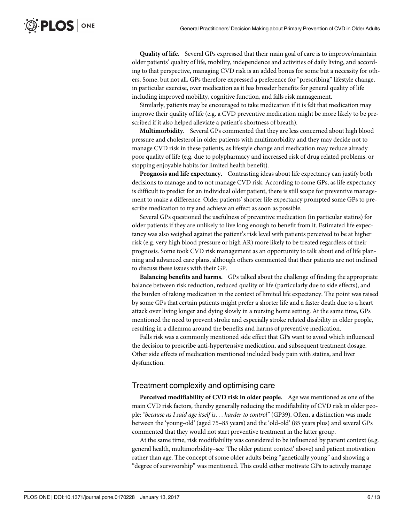**Quality of life.** Several GPs expressed that their main goal of care is to improve/maintain older patients' quality of life, mobility, independence and activities of daily living, and according to that perspective, managing CVD risk is an added bonus for some but a necessity for others. Some, but not all, GPs therefore expressed a preference for "prescribing" lifestyle change, in particular exercise, over medication as it has broader benefits for general quality of life including improved mobility, cognitive function, and falls risk management.

Similarly, patients may be encouraged to take medication if it is felt that medication may improve their quality of life (e.g. a CVD preventive medication might be more likely to be prescribed if it also helped alleviate a patient's shortness of breath).

**Multimorbidity.** Several GPs commented that they are less concerned about high blood pressure and cholesterol in older patients with multimorbidity and they may decide not to manage CVD risk in these patients, as lifestyle change and medication may reduce already poor quality of life (e.g. due to polypharmacy and increased risk of drug related problems, or stopping enjoyable habits for limited health benefit).

**Prognosis and life expectancy.** Contrasting ideas about life expectancy can justify both decisions to manage and to not manage CVD risk. According to some GPs, as life expectancy is difficult to predict for an individual older patient, there is still scope for preventive management to make a difference. Older patients' shorter life expectancy prompted some GPs to prescribe medication to try and achieve an effect as soon as possible.

Several GPs questioned the usefulness of preventive medication (in particular statins) for older patients if they are unlikely to live long enough to benefit from it. Estimated life expectancy was also weighed against the patient's risk level with patients perceived to be at higher risk (e.g. very high blood pressure or high AR) more likely to be treated regardless of their prognosis. Some took CVD risk management as an opportunity to talk about end of life planning and advanced care plans, although others commented that their patients are not inclined to discuss these issues with their GP.

**Balancing benefits and harms.** GPs talked about the challenge of finding the appropriate balance between risk reduction, reduced quality of life (particularly due to side effects), and the burden of taking medication in the context of limited life expectancy. The point was raised by some GPs that certain patients might prefer a shorter life and a faster death due to a heart attack over living longer and dying slowly in a nursing home setting. At the same time, GPs mentioned the need to prevent stroke and especially stroke related disability in older people, resulting in a dilemma around the benefits and harms of preventive medication.

Falls risk was a commonly mentioned side effect that GPs want to avoid which influenced the decision to prescribe anti-hypertensive medication, and subsequent treatment dosage. Other side effects of medication mentioned included body pain with statins, and liver dysfunction.

#### Treatment complexity and optimising care

**Perceived modifiability of CVD risk in older people.** Age was mentioned as one of the main CVD risk factors, thereby generally reducing the modifiability of CVD risk in older people: *"because as I said age itself is*. . . *harder to control"* (GP39). Often, a distinction was made between the 'young-old' (aged 75–85 years) and the 'old-old' (85 years plus) and several GPs commented that they would not start preventive treatment in the latter group.

At the same time, risk modifiability was considered to be influenced by patient context (e.g. general health, multimorbidity–see 'The older patient context' above) and patient motivation rather than age. The concept of some older adults being "genetically young" and showing a "degree of survivorship" was mentioned. This could either motivate GPs to actively manage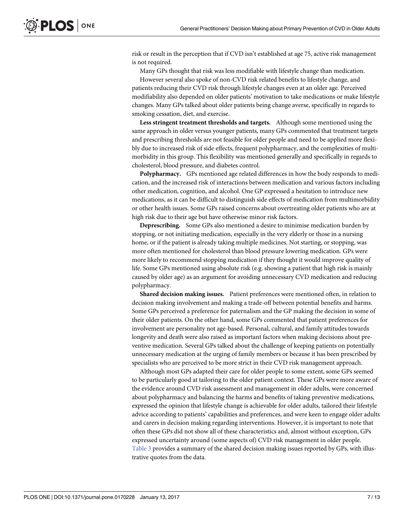<span id="page-7-0"></span>risk or result in the perception that if CVD isn't established at age 75, active risk management is not required.

Many GPs thought that risk was less modifiable with lifestyle change than medication.

However several also spoke of non-CVD risk related benefits to lifestyle change, and patients reducing their CVD risk through lifestyle changes even at an older age. Perceived modifiability also depended on older patients' motivation to take medications or make lifestyle changes. Many GPs talked about older patients being change averse, specifically in regards to smoking cessation, diet, and exercise.

**Less stringent treatment thresholds and targets.** Although some mentioned using the same approach in older versus younger patients, many GPs commented that treatment targets and prescribing thresholds are not feasible for older people and need to be applied more flexibly due to increased risk of side effects, frequent polypharmacy, and the complexities of multimorbidity in this group. This flexibility was mentioned generally and specifically in regards to cholesterol, blood pressure, and diabetes control.

**Polypharmacy.** GPs mentioned age related differences in how the body responds to medication, and the increased risk of interactions between medication and various factors including other medication, cognition, and alcohol. One GP expressed a hesitation to introduce new medications, as it can be difficult to distinguish side effects of medication from multimorbidity or other health issues. Some GPs raised concerns about overtreating older patients who are at high risk due to their age but have otherwise minor risk factors.

**Deprescribing.** Some GPs also mentioned a desire to minimise medication burden by stopping, or not initiating medication, especially in the very elderly or those in a nursing home, or if the patient is already taking multiple medicines. Not starting, or stopping, was more often mentioned for cholesterol than blood pressure lowering medication. GPs were more likely to recommend stopping medication if they thought it would improve quality of life. Some GPs mentioned using absolute risk (e.g. showing a patient that high risk is mainly caused by older age) as an argument for avoiding unnecessary CVD medication and reducing polypharmacy.

**Shared decision making issues.** Patient preferences were mentioned often, in relation to decision making involvement and making a trade-off between potential benefits and harms. Some GPs perceived a preference for paternalism and the GP making the decision in some of their older patients. On the other hand, some GPs commented that patient preferences for involvement are personality not age-based. Personal, cultural, and family attitudes towards longevity and death were also raised as important factors when making decisions about preventive medication. Several GPs talked about the challenge of keeping patients on potentially unnecessary medication at the urging of family members or because it has been prescribed by specialists who are perceived to be more strict in their CVD risk management approach.

Although most GPs adapted their care for older people to some extent, some GPs seemed to be particularly good at tailoring to the older patient context. These GPs were more aware of the evidence around CVD risk assessment and management in older adults, were concerned about polypharmacy and balancing the harms and benefits of taking preventive medications, expressed the opinion that lifestyle change is achievable for older adults, tailored their lifestyle advice according to patients' capabilities and preferences, and were keen to engage older adults and carers in decision making regarding interventions. However, it is important to note that often these GPs did not show all of these characteristics and, almost without exception, GPs expressed uncertainty around (some aspects of) CVD risk management in older people. [Table](#page-8-0) 3 provides a summary of the shared decision making issues reported by GPs, with illustrative quotes from the data.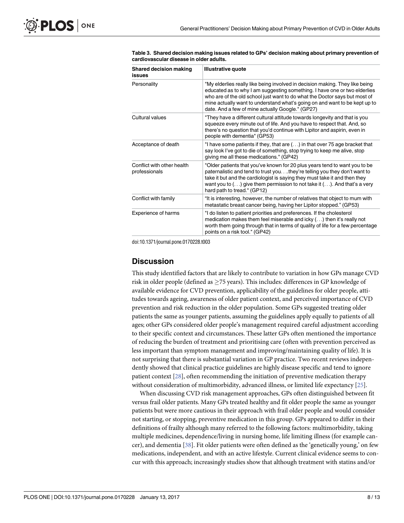| <b>Shared decision making</b><br>issues     | <b>Illustrative quote</b>                                                                                                                                                                                                                                                                                                                                                 |
|---------------------------------------------|---------------------------------------------------------------------------------------------------------------------------------------------------------------------------------------------------------------------------------------------------------------------------------------------------------------------------------------------------------------------------|
| Personality                                 | "My elderlies really like being involved in decision making. They like being<br>educated as to why I am suggesting something. I have one or two elderlies<br>who are of the old school just want to do what the Doctor says but most of<br>mine actually want to understand what's going on and want to be kept up to<br>date. And a few of mine actually Google." (GP27) |
| Cultural values                             | "They have a different cultural attitude towards longevity and that is you<br>squeeze every minute out of life. And you have to respect that. And, so<br>there's no question that you'd continue with Lipitor and aspirin, even in<br>people with dementia" (GP53)                                                                                                        |
| Acceptance of death                         | "I have some patients if they, that are $(\ldots)$ in that over 75 age bracket that<br>say look I've got to die of something, stop trying to keep me alive, stop<br>giving me all these medications." (GP42)                                                                                                                                                              |
| Conflict with other health<br>professionals | "Older patients that you've known for 20 plus years tend to want you to be<br>paternalistic and tend to trust youthey're telling you they don't want to<br>take it but and the cardiologist is saying they must take it and then they<br>want you to $()$ give them permission to not take it $()$ . And that's a very<br>hard path to tread." (GP12)                     |
| Conflict with family                        | "It is interesting, however, the number of relatives that object to mum with<br>metastatic breast cancer being, having her Lipitor stopped." (GP53)                                                                                                                                                                                                                       |
| <b>Experience of harms</b>                  | "I do listen to patient priorities and preferences. If the cholesterol<br>medication makes them feel miserable and icky $(\ldots)$ then it's really not<br>worth them going through that in terms of quality of life for a few percentage<br>points on a risk tool." (GP42)                                                                                               |

<span id="page-8-0"></span>**[Table](#page-7-0) 3. Shared decision making issues related to GPs' decision making about primary prevention of cardiovascular disease in older adults.**

doi:10.1371/journal.pone.0170228.t003

#### **Discussion**

This study identified factors that are likely to contribute to variation in how GPs manage CVD risk in older people (defined as  $\geq$  75 years). This includes: differences in GP knowledge of available evidence for CVD prevention, applicability of the guidelines for older people, attitudes towards ageing, awareness of older patient context, and perceived importance of CVD prevention and risk reduction in the older population. Some GPs suggested treating older patients the same as younger patients, assuming the guidelines apply equally to patients of all ages; other GPs considered older people's management required careful adjustment according to their specific context and circumstances. These latter GPs often mentioned the importance of reducing the burden of treatment and prioritising care (often with prevention perceived as less important than symptom management and improving/maintaining quality of life). It is not surprising that there is substantial variation in GP practice. Two recent reviews independently showed that clinical practice guidelines are highly disease specific and tend to ignore patient context [\[28\]](#page-12-0), often recommending the initiation of preventive medication therapy without consideration of multimorbidity, advanced illness, or limited life expectancy [[25](#page-12-0)].

When discussing CVD risk management approaches, GPs often distinguished between fit versus frail older patients. Many GPs treated healthy and fit older people the same as younger patients but were more cautious in their approach with frail older people and would consider not starting, or stopping, preventive medication in this group. GPs appeared to differ in their definitions of frailty although many referred to the following factors: multimorbidity, taking multiple medicines, dependence/living in nursing home, life limiting illness (for example cancer), and dementia [\[38\]](#page-12-0). Fit older patients were often defined as the 'genetically young,' on few medications, independent, and with an active lifestyle. Current clinical evidence seems to concur with this approach; increasingly studies show that although treatment with statins and/or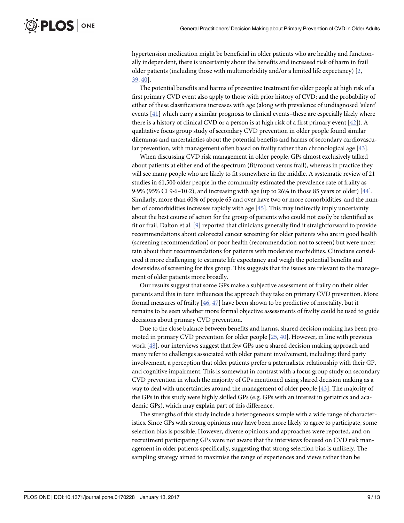<span id="page-9-0"></span>hypertension medication might be beneficial in older patients who are healthy and functionally independent, there is uncertainty about the benefits and increased risk of harm in frail older patients (including those with multimorbidity and/or a limited life expectancy)  $[2, 1]$  $[2, 1]$ [39,](#page-12-0) [40](#page-12-0)].

The potential benefits and harms of preventive treatment for older people at high risk of a first primary CVD event also apply to those with prior history of CVD; and the probability of either of these classifications increases with age (along with prevalence of undiagnosed 'silent' events [[41](#page-12-0)] which carry a similar prognosis to clinical events–these are especially likely where there is a history of clinical CVD or a person is at high risk of a first primary event [\[42\]](#page-12-0)). A qualitative focus group study of secondary CVD prevention in older people found similar dilemmas and uncertainties about the potential benefits and harms of secondary cardiovascular prevention, with management often based on frailty rather than chronological age [[43](#page-12-0)].

When discussing CVD risk management in older people, GPs almost exclusively talked about patients at either end of the spectrum (fit/robust versus frail), whereas in practice they will see many people who are likely to fit somewhere in the middle. A systematic review of 21 studies in 61,500 older people in the community estimated the prevalence rate of frailty as 9.9% (95% CI 9.6–10.2), and increasing with age (up to 26% in those 85 years or older) [ $44$ ]. Similarly, more than 60% of people 65 and over have two or more comorbidities, and the number of comorbidities increases rapidly with age [[45](#page-13-0)]. This may indirectly imply uncertainty about the best course of action for the group of patients who could not easily be identified as fit or frail. Dalton et al. [\[9\]](#page-11-0) reported that clinicians generally find it straightforward to provide recommendations about colorectal cancer screening for older patients who are in good health (screening recommendation) or poor health (recommendation not to screen) but were uncertain about their recommendations for patients with moderate morbidities. Clinicians considered it more challenging to estimate life expectancy and weigh the potential benefits and downsides of screening for this group. This suggests that the issues are relevant to the management of older patients more broadly.

Our results suggest that some GPs make a subjective assessment of frailty on their older patients and this in turn influences the approach they take on primary CVD prevention. More formal measures of frailty [[46](#page-13-0), [47](#page-13-0)] have been shown to be predictive of mortality, but it remains to be seen whether more formal objective assessments of frailty could be used to guide decisions about primary CVD prevention.

Due to the close balance between benefits and harms, shared decision making has been promoted in primary CVD prevention for older people [[25](#page-12-0), [40](#page-12-0)]. However, in line with previous work [\[48\]](#page-13-0), our interviews suggest that few GPs use a shared decision making approach and many refer to challenges associated with older patient involvement, including: third party involvement, a perception that older patients prefer a paternalistic relationship with their GP, and cognitive impairment. This is somewhat in contrast with a focus group study on secondary CVD prevention in which the majority of GPs mentioned using shared decision making as a way to deal with uncertainties around the management of older people [\[43\]](#page-12-0). The majority of the GPs in this study were highly skilled GPs (e.g. GPs with an interest in geriatrics and academic GPs), which may explain part of this difference.

The strengths of this study include a heterogeneous sample with a wide range of characteristics. Since GPs with strong opinions may have been more likely to agree to participate, some selection bias is possible. However, diverse opinions and approaches were reported, and on recruitment participating GPs were not aware that the interviews focused on CVD risk management in older patients specifically, suggesting that strong selection bias is unlikely. The sampling strategy aimed to maximise the range of experiences and views rather than be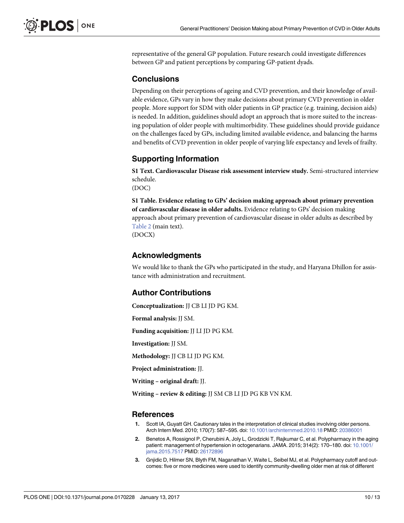<span id="page-10-0"></span>representative of the general GP population. Future research could investigate differences between GP and patient perceptions by comparing GP-patient dyads.

## **Conclusions**

Depending on their perceptions of ageing and CVD prevention, and their knowledge of available evidence, GPs vary in how they make decisions about primary CVD prevention in older people. More support for SDM with older patients in GP practice (e.g. training, decision aids) is needed. In addition, guidelines should adopt an approach that is more suited to the increasing population of older people with multimorbidity. These guidelines should provide guidance on the challenges faced by GPs, including limited available evidence, and balancing the harms and benefits of CVD prevention in older people of varying life expectancy and levels of frailty.

## **Supporting Information**

**S1 [Text](http://www.plosone.org/article/fetchSingleRepresentation.action?uri=info:doi/10.1371/journal.pone.0170228.s001). Cardiovascular Disease risk assessment interview study.** Semi-structured interview schedule.

(DOC)

**S1 [Table.](http://www.plosone.org/article/fetchSingleRepresentation.action?uri=info:doi/10.1371/journal.pone.0170228.s002) Evidence relating to GPs' decision making approach about primary prevention of cardiovascular disease in older adults.** Evidence relating to GPs' decision making approach about primary prevention of cardiovascular disease in older adults as described by [Table](#page-5-0) 2 (main text). (DOCX)

### **Acknowledgments**

We would like to thank the GPs who participated in the study, and Haryana Dhillon for assistance with administration and recruitment.

## **Author Contributions**

**Conceptualization:** JJ CB LI JD PG KM.

**Formal analysis:** JJ SM.

**Funding acquisition:** JJ LI JD PG KM.

**Investigation:** JJ SM.

**Methodology:** JJ CB LI JD PG KM.

**Project administration:** JJ.

**Writing – original draft:** JJ.

**Writing – review & editing:** JJ SM CB LI JD PG KB VN KM.

#### **References**

- **[1](#page-2-0).** Scott IA, Guyatt GH. Cautionary tales in the interpretation of clinical studies involving older persons. Arch Intern Med. 2010; 170(7): 587–595. doi: [10.1001/archinternmed.2010.18](http://dx.doi.org/10.1001/archinternmed.2010.18) PMID: [20386001](http://www.ncbi.nlm.nih.gov/pubmed/20386001)
- **[2](#page-2-0).** Benetos A, Rossignol P, Cherubini A, Joly L, Grodzicki T, Rajkumar C, et al. Polypharmacy in the aging patient: management of hypertension in octogenarians. JAMA. 2015; 314(2): 170–180. doi: [10.1001/](http://dx.doi.org/10.1001/jama.2015.7517) [jama.2015.7517](http://dx.doi.org/10.1001/jama.2015.7517) PMID: [26172896](http://www.ncbi.nlm.nih.gov/pubmed/26172896)
- **[3](#page-2-0).** Gnjidic D, Hilmer SN, Blyth FM, Naganathan V, Waite L, Seibel MJ, et al. Polypharmacy cutoff and outcomes: five or more medicines were used to identify community-dwelling older men at risk of different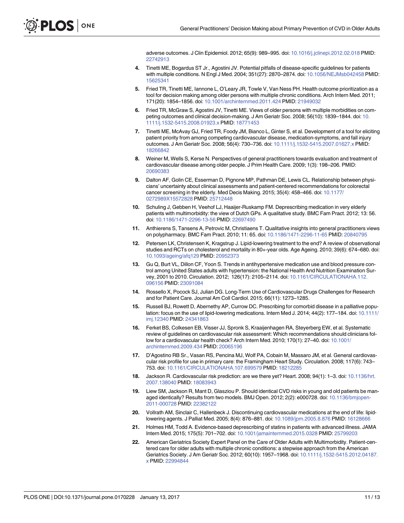adverse outcomes. J Clin Epidemiol. 2012; 65(9): 989–995. doi: [10.1016/j.jclinepi.2012.02.018](http://dx.doi.org/10.1016/j.jclinepi.2012.02.018) PMID: [22742913](http://www.ncbi.nlm.nih.gov/pubmed/22742913)

- <span id="page-11-0"></span>**[4](#page-2-0).** Tinetti ME, Bogardus ST Jr., Agostini JV. Potential pitfalls of disease-specific guidelines for patients with multiple conditions. N Engl J Med. 2004; 351(27): 2870–2874. doi: [10.1056/NEJMsb042458](http://dx.doi.org/10.1056/NEJMsb042458) PMID: [15625341](http://www.ncbi.nlm.nih.gov/pubmed/15625341)
- **[5](#page-2-0).** Fried TR, Tinetti ME, Iannone L, O'Leary JR, Towle V, Van Ness PH. Health outcome prioritization as a tool for decision making among older persons with multiple chronic conditions. Arch Intern Med. 2011; 171(20): 1854–1856. doi: [10.1001/archinternmed.2011.424](http://dx.doi.org/10.1001/archinternmed.2011.424) PMID: [21949032](http://www.ncbi.nlm.nih.gov/pubmed/21949032)
- **6.** Fried TR, McGraw S, Agostini JV, Tinetti ME. Views of older persons with multiple morbidities on competing outcomes and clinical decision-making. J Am Geriatr Soc. 2008; 56(10): 1839–1844. doi: [10.](http://dx.doi.org/10.1111/j.1532-5415.2008.01923.x) [1111/j.1532-5415.2008.01923.x](http://dx.doi.org/10.1111/j.1532-5415.2008.01923.x) PMID: [18771453](http://www.ncbi.nlm.nih.gov/pubmed/18771453)
- **[7](#page-2-0).** Tinetti ME, McAvay GJ, Fried TR, Foody JM, Bianco L, Ginter S, et al. Development of a tool for eliciting patient priority from among competing cardiovascular disease, medication-symptoms, and fall injury outcomes. J Am Geriatr Soc. 2008; 56(4): 730–736. doi: [10.1111/j.1532-5415.2007.01627.x](http://dx.doi.org/10.1111/j.1532-5415.2007.01627.x) PMID: [18266842](http://www.ncbi.nlm.nih.gov/pubmed/18266842)
- **[8](#page-2-0).** Weiner M, Wells S, Kerse N. Perspectives of general practitioners towards evaluation and treatment of cardiovascular disease among older people. J Prim Health Care. 2009; 1(3): 198–206. PMID: [20690383](http://www.ncbi.nlm.nih.gov/pubmed/20690383)
- **[9](#page-2-0).** Dalton AF, Golin CE, Esserman D, Pignone MP, Pathman DE, Lewis CL. Relationship between physicians' uncertainty about clinical assessments and patient-centered recommendations for colorectal cancer screening in the elderly. Med Decis Making. 2015; 35(4): 458–466. doi: [10.1177/](http://dx.doi.org/10.1177/0272989X15572828) [0272989X15572828](http://dx.doi.org/10.1177/0272989X15572828) PMID: [25712448](http://www.ncbi.nlm.nih.gov/pubmed/25712448)
- **[10](#page-2-0).** Schuling J, Gebben H, Veehof LJ, Haaijer-Ruskamp FM. Deprescribing medication in very elderly patients with multimorbidity: the view of Dutch GPs. A qualitative study. BMC Fam Pract. 2012; 13: 56. doi: [10.1186/1471-2296-13-56](http://dx.doi.org/10.1186/1471-2296-13-56) PMID: [22697490](http://www.ncbi.nlm.nih.gov/pubmed/22697490)
- **[11](#page-2-0).** Anthierens S, Tansens A, Petrovic M, Christiaens T. Qualitative insights into general practitioners views on polypharmacy. BMC Fam Pract. 2010; 11: 65. doi: [10.1186/1471-2296-11-65](http://dx.doi.org/10.1186/1471-2296-11-65) PMID: [20840795](http://www.ncbi.nlm.nih.gov/pubmed/20840795)
- **[12](#page-2-0).** Petersen LK, Christensen K, Kragstrup J. Lipid-lowering treatment to the end? A review of observational studies and RCTs on cholesterol and mortality in 80+-year olds. Age Ageing. 2010; 39(6): 674–680. doi: [10.1093/ageing/afq129](http://dx.doi.org/10.1093/ageing/afq129) PMID: [20952373](http://www.ncbi.nlm.nih.gov/pubmed/20952373)
- **13.** Gu Q, Burt VL, Dillon CF, Yoon S. Trends in antihypertensive medication use and blood pressure control among United States adults with hypertension: the National Health And Nutrition Examination Survey, 2001 to 2010. Circulation. 2012; 126(17): 2105–2114. doi: [10.1161/CIRCULATIONAHA.112.](http://dx.doi.org/10.1161/CIRCULATIONAHA.112.096156) [096156](http://dx.doi.org/10.1161/CIRCULATIONAHA.112.096156) PMID: [23091084](http://www.ncbi.nlm.nih.gov/pubmed/23091084)
- **[14](#page-2-0).** Rossello X, Pocock SJ, Julian DG. Long-Term Use of Cardiovascular Drugs Challenges for Research and for Patient Care. Journal Am Coll Cardiol. 2015; 66(11): 1273–1285.
- **[15](#page-2-0).** Russell BJ, Rowett D, Abernethy AP, Currow DC. Prescribing for comorbid disease in a palliative popu-lation: focus on the use of lipid-lowering medications. Intern Med J. 2014; 44(2): 177-184. doi: [10.1111/](http://dx.doi.org/10.1111/imj.12340) [imj.12340](http://dx.doi.org/10.1111/imj.12340) PMID: [24341863](http://www.ncbi.nlm.nih.gov/pubmed/24341863)
- **[16](#page-2-0).** Ferket BS, Colkesen EB, Visser JJ, Spronk S, Kraaijenhagen RA, Steyerberg EW, et al. Systematic review of guidelines on cardiovascular risk assessment: Which recommendations should clinicians follow for a cardiovascular health check? Arch Intern Med. 2010; 170(1): 27–40. doi: [10.1001/](http://dx.doi.org/10.1001/archinternmed.2009.434) [archinternmed.2009.434](http://dx.doi.org/10.1001/archinternmed.2009.434) PMID: [20065196](http://www.ncbi.nlm.nih.gov/pubmed/20065196)
- **[17](#page-2-0).** D'Agostino RB Sr., Vasan RS, Pencina MJ, Wolf PA, Cobain M, Massaro JM, et al. General cardiovascular risk profile for use in primary care: the Framingham Heart Study. Circulation. 2008; 117(6): 743– 753. doi: [10.1161/CIRCULATIONAHA.107.699579](http://dx.doi.org/10.1161/CIRCULATIONAHA.107.699579) PMID: [18212285](http://www.ncbi.nlm.nih.gov/pubmed/18212285)
- **[18](#page-2-0).** Jackson R. Cardiovascular risk prediction: are we there yet? Heart. 2008; 94(1): 1–3. doi: [10.1136/hrt.](http://dx.doi.org/10.1136/hrt.2007.138040) [2007.138040](http://dx.doi.org/10.1136/hrt.2007.138040) PMID: [18083943](http://www.ncbi.nlm.nih.gov/pubmed/18083943)
- **[19](#page-2-0).** Liew SM, Jackson R, Mant D, Glasziou P. Should identical CVD risks in young and old patients be managed identically? Results from two models. BMJ Open. 2012; 2(2): e000728. doi: [10.1136/bmjopen-](http://dx.doi.org/10.1136/bmjopen-2011-000728)[2011-000728](http://dx.doi.org/10.1136/bmjopen-2011-000728) PMID: [22382122](http://www.ncbi.nlm.nih.gov/pubmed/22382122)
- **[20](#page-2-0).** Vollrath AM, Sinclair C, Hallenbeck J. Discontinuing cardiovascular medications at the end of life: lipidlowering agents. J Palliat Med. 2005; 8(4): 876–881. doi: [10.1089/jpm.2005.8.876](http://dx.doi.org/10.1089/jpm.2005.8.876) PMID: [16128666](http://www.ncbi.nlm.nih.gov/pubmed/16128666)
- **[21](#page-2-0).** Holmes HM, Todd A. Evidence-based deprescribing of statins in patients with advanced illness. JAMA Intern Med. 2015; 175(5): 701–702. doi: [10.1001/jamainternmed.2015.0328](http://dx.doi.org/10.1001/jamainternmed.2015.0328) PMID: [25799203](http://www.ncbi.nlm.nih.gov/pubmed/25799203)
- **[22](#page-2-0).** American Geriatrics Society Expert Panel on the Care of Older Adults with Multimorbidity. Patient-centered care for older adults with multiple chronic conditions: a stepwise approach from the American Geriatrics Society. J Am Geriatr Soc. 2012; 60(10): 1957–1968. doi: [10.1111/j.1532-5415.2012.04187.](http://dx.doi.org/10.1111/j.1532-5415.2012.04187.x) [x](http://dx.doi.org/10.1111/j.1532-5415.2012.04187.x) PMID: [22994844](http://www.ncbi.nlm.nih.gov/pubmed/22994844)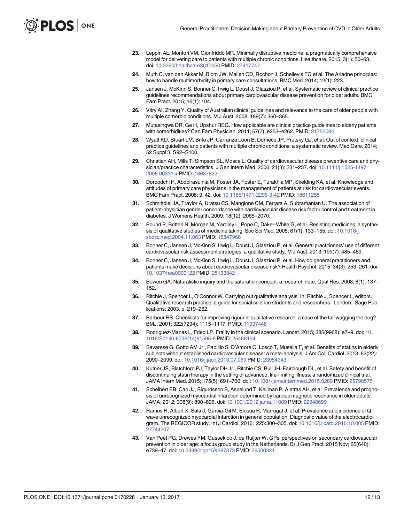- <span id="page-12-0"></span>**23.** Leppin AL, Montori VM, Gionfriddo MR. Minimally disruptive medicine: a pragmatically comprehensive model for delivering care to patients with multiple chronic conditions. Healthcare. 2015; 3(1): 50–63. doi: [10.3390/healthcare3010050](http://dx.doi.org/10.3390/healthcare3010050) PMID: [27417747](http://www.ncbi.nlm.nih.gov/pubmed/27417747)
- **[24](#page-2-0).** Muth C, van den Akker M, Blom JW, Mallen CD, Rochon J, Schellevis FG et al. The Ariadne principles: how to handle multimorbidity in primary care consultations. BMC Med. 2014; 12(1): 223.
- **[25](#page-2-0).** Jansen J, McKinn S, Bonner C, Irwig L, Doust J, Glasziou P, et al. Systematic review of clinical practice guidelines recommendations about primary cardiovascular disease prevention for older adults. BMC Fam Pract. 2015; 16(1): 104.
- **26.** Vitry AI, Zhang Y. Quality of Australian clinical guidelines and relevance to the care of older people with multiple comorbid conditions. M J Aust. 2008; 189(7): 360–365.
- **27.** Mutasingwa DR, Ge H, Upshur REG. How applicable are clinical practice guidelines to elderly patients with comorbidities? Can Fam Physician. 2011; 57(7): e253–e262. PMID: [21753084](http://www.ncbi.nlm.nih.gov/pubmed/21753084)
- **[28](#page-2-0).** Wyatt KD, Stuart LM, Brito JP, Carranza Leon B, Domecq JP, Prutsky GJ, et al. Out of context: clinical practice guidelines and patients with multiple chronic conditions: a systematic review. Med Care. 2014; 52 Suppl 3: S92–S100.
- **[29](#page-3-0).** Christian AH, Mills T, Simpson SL, Mosca L. Quality of cardiovascular disease preventive care and physician/practice characteristics. J Gen Intern Med. 2006; 21(3): 231–237. doi: [10.1111/j.1525-1497.](http://dx.doi.org/10.1111/j.1525-1497.2006.00331.x) [2006.00331.x](http://dx.doi.org/10.1111/j.1525-1497.2006.00331.x) PMID: [16637822](http://www.ncbi.nlm.nih.gov/pubmed/16637822)
- **30.** Doroodchi H, Abdolrasulnia M, Foster JA, Foster E, Turakhia MP, Skelding KA, et al. Knowledge and attitudes of primary care physicians in the management of patients at risk for cardiovascular events. BMC Fam Pract. 2008; 9: 42. doi: [10.1186/1471-2296-9-42](http://dx.doi.org/10.1186/1471-2296-9-42) PMID: [18611255](http://www.ncbi.nlm.nih.gov/pubmed/18611255)
- **31.** Schmittdiel JA, Traylor A, Uratsu CS, Mangione CM, Ferrara A, Subramanian U. The association of patient-physician gender concordance with cardiovascular disease risk factor control and treatment in diabetes. J Womens Health. 2009; 18(12): 2065–2070.
- **[32](#page-3-0).** Pound P, Britten N, Morgan M, Yardley L, Pope C, Daker-White G, et al. Resisting medicines: a synthesis of qualitative studies of medicine taking. Soc Sci Med. 2005; 61(1): 133–155. doi: [10.1016/j.](http://dx.doi.org/10.1016/j.socscimed.2004.11.063) [socscimed.2004.11.063](http://dx.doi.org/10.1016/j.socscimed.2004.11.063) PMID: [15847968](http://www.ncbi.nlm.nih.gov/pubmed/15847968)
- **[33](#page-3-0).** Bonner C, Jansen J, McKinn S, Irwig L, Doust J, Glasziou P, et al. General practitioners' use of different cardiovascular risk assessment strategies: a qualitative study. M J Aust. 2013; 199(7): 485–489.
- **[34](#page-3-0).** Bonner C, Jansen J, McKinn S, Irwig L, Doust J, Glasziou P, et al. How do general practitioners and patients make decisions about cardiovascular disease risk? Health Psychol. 2015; 34(3): 253–261. doi: [10.1037/hea0000122](http://dx.doi.org/10.1037/hea0000122) PMID: [25133842](http://www.ncbi.nlm.nih.gov/pubmed/25133842)
- **[35](#page-3-0).** Bowen GA. Naturalistic inquiry and the saturation concept: a research note. Qual Res. 2008; 8(1): 137– 152.
- **[36](#page-4-0).** Ritchie J, Spencer L, O'Connor W. Carrying out qualitative analysis. In: Ritchie J, Spencer L, editors. Qualitative research practice: a guide for social science students and researchers. London: Sage Publications; 2003. p. 219–262.
- **[37](#page-4-0).** Barbour RS. Checklists for improving rigour in qualitative research: a case of the tail wagging the dog? BMJ. 2001; 322(7294): 1115–1117. PMID: [11337448](http://www.ncbi.nlm.nih.gov/pubmed/11337448)
- **[38](#page-8-0).** Rodriguez-Manas L, Fried LP. Frailty in the clinical scenario. Lancet. 2015; 385(9968): e7–9. doi: [10.](http://dx.doi.org/10.1016/S0140-6736(14)61595-6) [1016/S0140-6736\(14\)61595-6](http://dx.doi.org/10.1016/S0140-6736(14)61595-6) PMID: [25468154](http://www.ncbi.nlm.nih.gov/pubmed/25468154)
- **[39](#page-9-0).** Savarese G, Gotto AM Jr., Paolillo S, D'Amore C, Losco T, Musella F, et al. Benefits of statins in elderly subjects without established cardiovascular disease: a meta-analysis. J Am Coll Cardiol. 2013; 62(22): 2090–2099. doi: [10.1016/j.jacc.2013.07.069](http://dx.doi.org/10.1016/j.jacc.2013.07.069) PMID: [23954343](http://www.ncbi.nlm.nih.gov/pubmed/23954343)
- **[40](#page-9-0).** Kutner JS, Blatchford PJ, Taylor DH Jr., Ritchie CS, Bull JH, Fairclough DL, et al. Safety and benefit of discontinuing statin therapy in the setting of advanced, life-limiting illness: a randomized clinical trial. JAMA Intern Med. 2015; 175(5): 691–700. doi: [10.1001/jamainternmed.2015.0289](http://dx.doi.org/10.1001/jamainternmed.2015.0289) PMID: [25798575](http://www.ncbi.nlm.nih.gov/pubmed/25798575)
- **[41](#page-9-0).** Schelbert EB, Cao JJ, Sigurdsson S, Aspelund T, Kellman P, Aletras AH, et al. Prevalence and prognosis of unrecognized myocardial infarction determined by cardiac magnetic resonance in older adults. JAMA. 2012; 308(9): 890–896. doi: [10.1001/2012.jama.11089](http://dx.doi.org/10.1001/2012.jama.11089) PMID: [22948699](http://www.ncbi.nlm.nih.gov/pubmed/22948699)
- **[42](#page-9-0).** Ramos R, Albert X, Sala J, Garcia-Gil M, Elosua R, Marrugat J, et al. Prevalence and incidence of Qwave unrecognized myocardial infarction in general population: Diagnostic value of the electrocardiogram. The REGICOR study. Int J Cardiol. 2016; 225:300–305. doi: [10.1016/j.ijcard.2016.10.005](http://dx.doi.org/10.1016/j.ijcard.2016.10.005) PMID: [27744207](http://www.ncbi.nlm.nih.gov/pubmed/27744207)
- **[43](#page-9-0).** Van Peet PG, Drewes YM, Gussekloo J, de Ruijter W. GPs' perspectives on secondary cardiovascular prevention in older age: a focus group study in the Netherlands. Br J Gen Pract. 2015 Nov; 65(640): e739–47. doi: [10.3399/bjgp15X687373](http://dx.doi.org/10.3399/bjgp15X687373) PMID: [26500321](http://www.ncbi.nlm.nih.gov/pubmed/26500321)